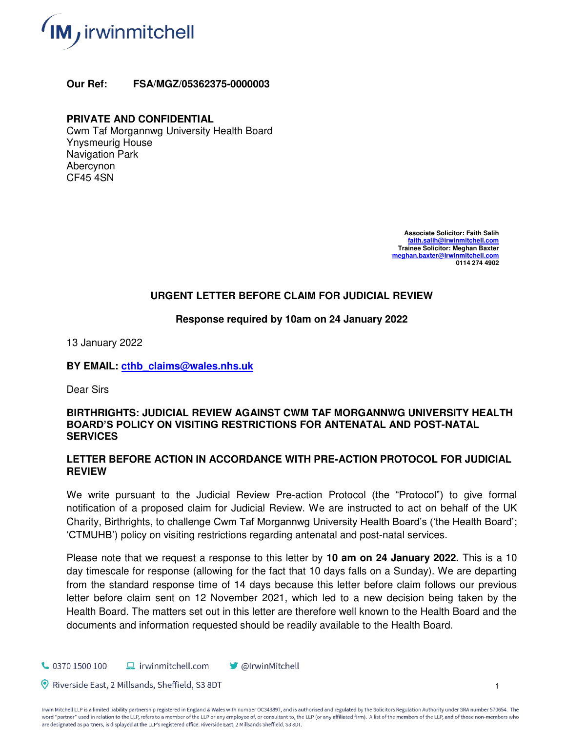

**Our Ref: FSA/MGZ/05362375-0000003**

## **PRIVATE AND CONFIDENTIAL**

Cwm Taf Morgannwg University Health Board Ynysmeurig House Navigation Park Abercynon CF45 4SN

> **Associate Solicitor: Faith Salih [faith.salih@irwinmitchell.com](mailto:faith.salih@irwinmitchell.com) Trainee Solicitor: Meghan Baxter [meghan.baxter@irwinmitchell.com](mailto:meghan.baxter@irwinmitchell.com)  0114 274 4902**

### **URGENT LETTER BEFORE CLAIM FOR JUDICIAL REVIEW**

#### **Response required by 10am on 24 January 2022**

13 January 2022

**BY EMAIL: [cthb\\_claims@wales.nhs.uk](mailto:cthb_claims@wales.nhs.uk)** 

Dear Sirs

#### **BIRTHRIGHTS: JUDICIAL REVIEW AGAINST CWM TAF MORGANNWG UNIVERSITY HEALTH BOARD'S POLICY ON VISITING RESTRICTIONS FOR ANTENATAL AND POST-NATAL SERVICES**

#### **LETTER BEFORE ACTION IN ACCORDANCE WITH PRE-ACTION PROTOCOL FOR JUDICIAL REVIEW**

We write pursuant to the Judicial Review Pre-action Protocol (the "Protocol") to give formal notification of a proposed claim for Judicial Review. We are instructed to act on behalf of the UK Charity, Birthrights, to challenge Cwm Taf Morgannwg University Health Board's ('the Health Board'; 'CTMUHB') policy on visiting restrictions regarding antenatal and post-natal services.

Please note that we request a response to this letter by **10 am on 24 January 2022.** This is a 10 day timescale for response (allowing for the fact that 10 days falls on a Sunday). We are departing from the standard response time of 14 days because this letter before claim follows our previous letter before claim sent on 12 November 2021, which led to a new decision being taken by the Health Board. The matters set out in this letter are therefore well known to the Health Board and the documents and information requested should be readily available to the Health Board.

 $\frac{1}{2}$  0370 1500 100  $\Box$  irwinmitchell.com **OlrwinMitchell** 

Riverside East, 2 Millsands, Sheffield, S3 8DT

Irwin Mitchell LLP is a limited liability partnership registered in England & Wales with number OC343897, and is authorised and regulated by the Solicitors Regulation Authority under SRA number 570654. The word "partner" used in relation to the LLP, refers to a member of the LLP or any employee of, or consultant to, the LLP (or any affiliated firm). A list of the members of the LLP, and of those non-members who are designated as partners, is displayed at the LLP's registered office: Riverside East, 2 Millsands Sheffield, S3 8DT.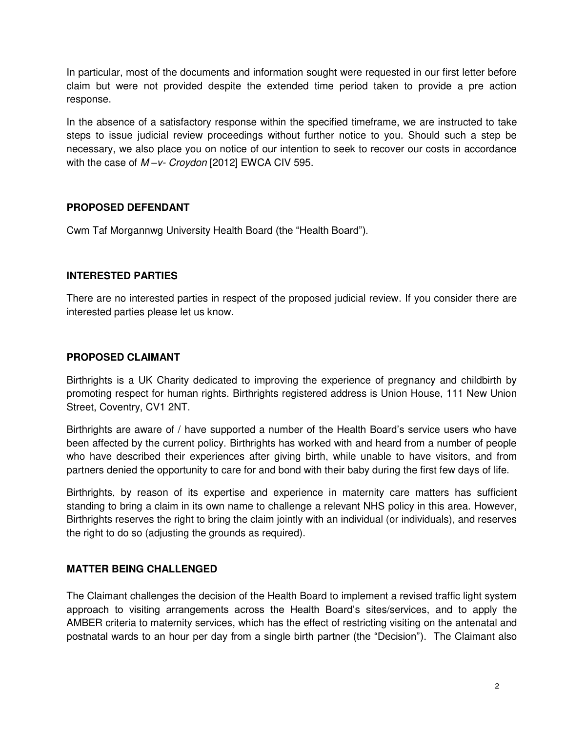In particular, most of the documents and information sought were requested in our first letter before claim but were not provided despite the extended time period taken to provide a pre action response.

In the absence of a satisfactory response within the specified timeframe, we are instructed to take steps to issue judicial review proceedings without further notice to you. Should such a step be necessary, we also place you on notice of our intention to seek to recover our costs in accordance with the case of *M –v- Croydon* [2012] EWCA CIV 595.

### **PROPOSED DEFENDANT**

Cwm Taf Morgannwg University Health Board (the "Health Board").

### **INTERESTED PARTIES**

There are no interested parties in respect of the proposed judicial review. If you consider there are interested parties please let us know.

### **PROPOSED CLAIMANT**

Birthrights is a UK Charity dedicated to improving the experience of pregnancy and childbirth by promoting respect for human rights. Birthrights registered address is Union House, 111 New Union Street, Coventry, CV1 2NT.

Birthrights are aware of / have supported a number of the Health Board's service users who have been affected by the current policy. Birthrights has worked with and heard from a number of people who have described their experiences after giving birth, while unable to have visitors, and from partners denied the opportunity to care for and bond with their baby during the first few days of life.

Birthrights, by reason of its expertise and experience in maternity care matters has sufficient standing to bring a claim in its own name to challenge a relevant NHS policy in this area. However, Birthrights reserves the right to bring the claim jointly with an individual (or individuals), and reserves the right to do so (adjusting the grounds as required).

## **MATTER BEING CHALLENGED**

The Claimant challenges the decision of the Health Board to implement a revised traffic light system approach to visiting arrangements across the Health Board's sites/services, and to apply the AMBER criteria to maternity services, which has the effect of restricting visiting on the antenatal and postnatal wards to an hour per day from a single birth partner (the "Decision"). The Claimant also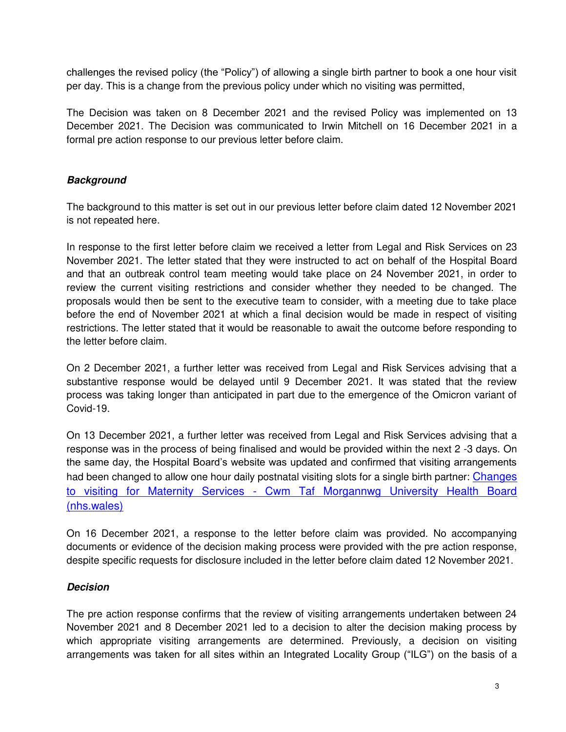challenges the revised policy (the "Policy") of allowing a single birth partner to book a one hour visit per day. This is a change from the previous policy under which no visiting was permitted,

The Decision was taken on 8 December 2021 and the revised Policy was implemented on 13 December 2021. The Decision was communicated to Irwin Mitchell on 16 December 2021 in a formal pre action response to our previous letter before claim.

## *Background*

The background to this matter is set out in our previous letter before claim dated 12 November 2021 is not repeated here.

In response to the first letter before claim we received a letter from Legal and Risk Services on 23 November 2021. The letter stated that they were instructed to act on behalf of the Hospital Board and that an outbreak control team meeting would take place on 24 November 2021, in order to review the current visiting restrictions and consider whether they needed to be changed. The proposals would then be sent to the executive team to consider, with a meeting due to take place before the end of November 2021 at which a final decision would be made in respect of visiting restrictions. The letter stated that it would be reasonable to await the outcome before responding to the letter before claim.

On 2 December 2021, a further letter was received from Legal and Risk Services advising that a substantive response would be delayed until 9 December 2021. It was stated that the review process was taking longer than anticipated in part due to the emergence of the Omicron variant of Covid-19.

On 13 December 2021, a further letter was received from Legal and Risk Services advising that a response was in the process of being finalised and would be provided within the next 2 -3 days. On the same day, the Hospital Board's website was updated and confirmed that visiting arrangements had been changed to allow one hour daily postnatal visiting slots for a single birth partner: Changes [to visiting for Maternity Services - Cwm Taf Morgannwg University Health Board](https://ctmuhb.nhs.wales/news/latest-news/changes-to-visiting-for-maternity-services/)  [\(nhs.wales\)](https://ctmuhb.nhs.wales/news/latest-news/changes-to-visiting-for-maternity-services/)

On 16 December 2021, a response to the letter before claim was provided. No accompanying documents or evidence of the decision making process were provided with the pre action response, despite specific requests for disclosure included in the letter before claim dated 12 November 2021.

## *Decision*

The pre action response confirms that the review of visiting arrangements undertaken between 24 November 2021 and 8 December 2021 led to a decision to alter the decision making process by which appropriate visiting arrangements are determined. Previously, a decision on visiting arrangements was taken for all sites within an Integrated Locality Group ("ILG") on the basis of a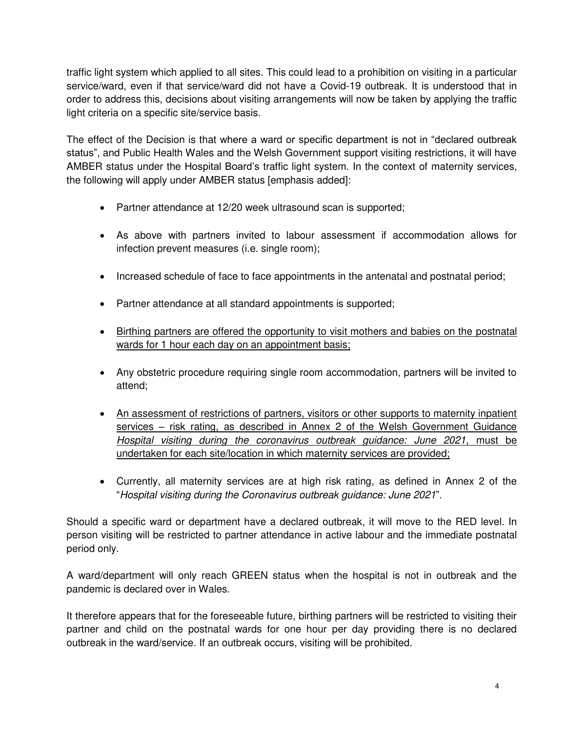traffic light system which applied to all sites. This could lead to a prohibition on visiting in a particular service/ward, even if that service/ward did not have a Covid-19 outbreak. It is understood that in order to address this, decisions about visiting arrangements will now be taken by applying the traffic light criteria on a specific site/service basis.

The effect of the Decision is that where a ward or specific department is not in "declared outbreak status", and Public Health Wales and the Welsh Government support visiting restrictions, it will have AMBER status under the Hospital Board's traffic light system. In the context of maternity services, the following will apply under AMBER status [emphasis added]:

- Partner attendance at 12/20 week ultrasound scan is supported;
- As above with partners invited to labour assessment if accommodation allows for infection prevent measures (i.e. single room);
- Increased schedule of face to face appointments in the antenatal and postnatal period;
- Partner attendance at all standard appointments is supported;
- Birthing partners are offered the opportunity to visit mothers and babies on the postnatal wards for 1 hour each day on an appointment basis;
- Any obstetric procedure requiring single room accommodation, partners will be invited to attend;
- An assessment of restrictions of partners, visitors or other supports to maternity inpatient services – risk rating, as described in Annex 2 of the Welsh Government Guidance *Hospital visiting during the coronavirus outbreak guidance: June 2021*, must be undertaken for each site/location in which maternity services are provided;
- Currently, all maternity services are at high risk rating, as defined in Annex 2 of the "*Hospital visiting during the Coronavirus outbreak guidance: June 2021*".

Should a specific ward or department have a declared outbreak, it will move to the RED level. In person visiting will be restricted to partner attendance in active labour and the immediate postnatal period only.

A ward/department will only reach GREEN status when the hospital is not in outbreak and the pandemic is declared over in Wales.

It therefore appears that for the foreseeable future, birthing partners will be restricted to visiting their partner and child on the postnatal wards for one hour per day providing there is no declared outbreak in the ward/service. If an outbreak occurs, visiting will be prohibited.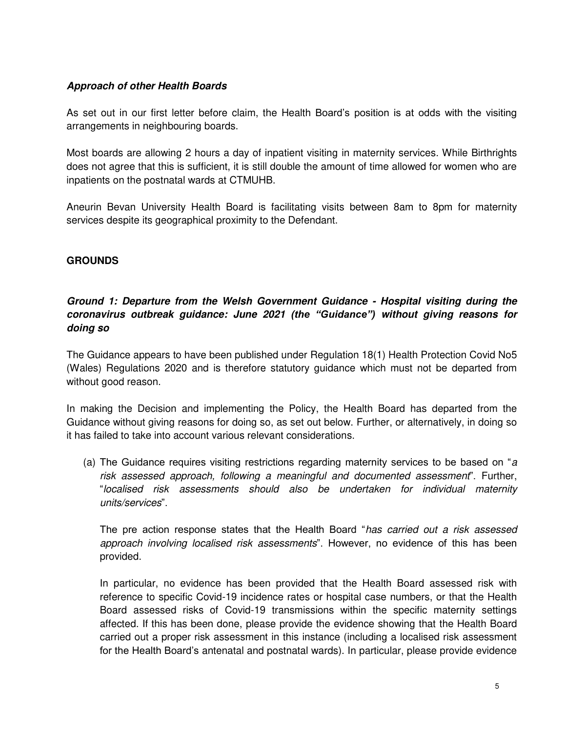## *Approach of other Health Boards*

As set out in our first letter before claim, the Health Board's position is at odds with the visiting arrangements in neighbouring boards.

Most boards are allowing 2 hours a day of inpatient visiting in maternity services. While Birthrights does not agree that this is sufficient, it is still double the amount of time allowed for women who are inpatients on the postnatal wards at CTMUHB.

Aneurin Bevan University Health Board is facilitating visits between 8am to 8pm for maternity services despite its geographical proximity to the Defendant.

## **GROUNDS**

## *Ground 1: Departure from the Welsh Government Guidance - Hospital visiting during the coronavirus outbreak guidance: June 2021 (the "Guidance") without giving reasons for doing so*

The Guidance appears to have been published under Regulation 18(1) Health Protection Covid No5 (Wales) Regulations 2020 and is therefore statutory guidance which must not be departed from without good reason.

In making the Decision and implementing the Policy, the Health Board has departed from the Guidance without giving reasons for doing so, as set out below. Further, or alternatively, in doing so it has failed to take into account various relevant considerations.

(a) The Guidance requires visiting restrictions regarding maternity services to be based on "*a risk assessed approach, following a meaningful and documented assessment*". Further, "*localised risk assessments should also be undertaken for individual maternity units/services*".

The pre action response states that the Health Board "*has carried out a risk assessed approach involving localised risk assessments*". However, no evidence of this has been provided.

In particular, no evidence has been provided that the Health Board assessed risk with reference to specific Covid-19 incidence rates or hospital case numbers, or that the Health Board assessed risks of Covid-19 transmissions within the specific maternity settings affected. If this has been done, please provide the evidence showing that the Health Board carried out a proper risk assessment in this instance (including a localised risk assessment for the Health Board's antenatal and postnatal wards). In particular, please provide evidence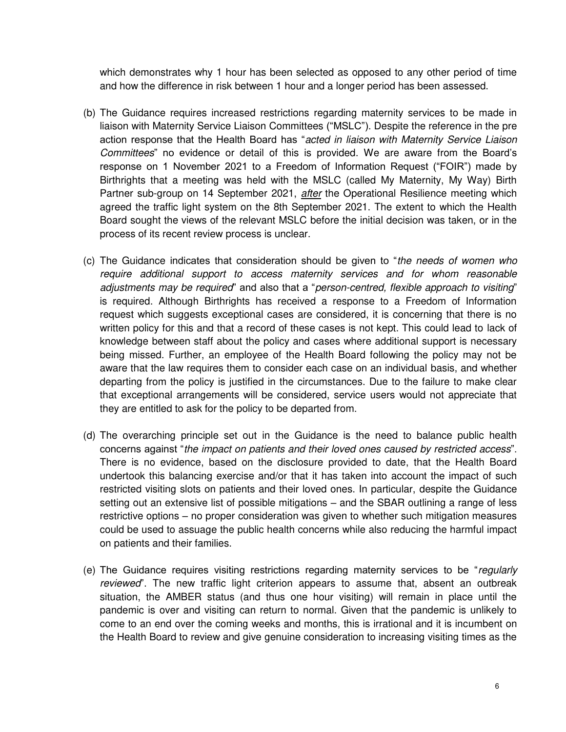which demonstrates why 1 hour has been selected as opposed to any other period of time and how the difference in risk between 1 hour and a longer period has been assessed.

- (b) The Guidance requires increased restrictions regarding maternity services to be made in liaison with Maternity Service Liaison Committees ("MSLC"). Despite the reference in the pre action response that the Health Board has "*acted in liaison with Maternity Service Liaison Committees*" no evidence or detail of this is provided. We are aware from the Board's response on 1 November 2021 to a Freedom of Information Request ("FOIR") made by Birthrights that a meeting was held with the MSLC (called My Maternity, My Way) Birth Partner sub-group on 14 September 2021, *after* the Operational Resilience meeting which agreed the traffic light system on the 8th September 2021. The extent to which the Health Board sought the views of the relevant MSLC before the initial decision was taken, or in the process of its recent review process is unclear.
- (c) The Guidance indicates that consideration should be given to "*the needs of women who require additional support to access maternity services and for whom reasonable adjustments may be required*" and also that a "*person-centred, flexible approach to visiting*" is required. Although Birthrights has received a response to a Freedom of Information request which suggests exceptional cases are considered, it is concerning that there is no written policy for this and that a record of these cases is not kept. This could lead to lack of knowledge between staff about the policy and cases where additional support is necessary being missed. Further, an employee of the Health Board following the policy may not be aware that the law requires them to consider each case on an individual basis, and whether departing from the policy is justified in the circumstances. Due to the failure to make clear that exceptional arrangements will be considered, service users would not appreciate that they are entitled to ask for the policy to be departed from.
- (d) The overarching principle set out in the Guidance is the need to balance public health concerns against "*the impact on patients and their loved ones caused by restricted access*". There is no evidence, based on the disclosure provided to date, that the Health Board undertook this balancing exercise and/or that it has taken into account the impact of such restricted visiting slots on patients and their loved ones. In particular, despite the Guidance setting out an extensive list of possible mitigations – and the SBAR outlining a range of less restrictive options – no proper consideration was given to whether such mitigation measures could be used to assuage the public health concerns while also reducing the harmful impact on patients and their families.
- (e) The Guidance requires visiting restrictions regarding maternity services to be "*regularly reviewed*". The new traffic light criterion appears to assume that, absent an outbreak situation, the AMBER status (and thus one hour visiting) will remain in place until the pandemic is over and visiting can return to normal. Given that the pandemic is unlikely to come to an end over the coming weeks and months, this is irrational and it is incumbent on the Health Board to review and give genuine consideration to increasing visiting times as the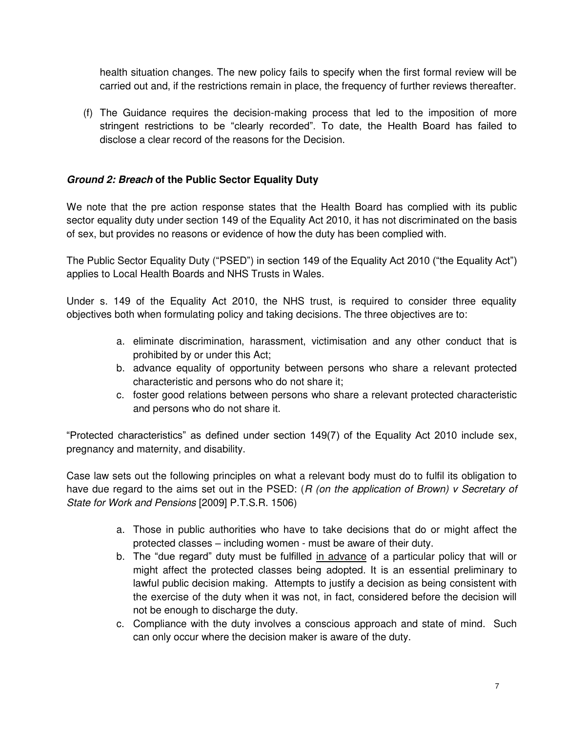health situation changes. The new policy fails to specify when the first formal review will be carried out and, if the restrictions remain in place, the frequency of further reviews thereafter.

(f) The Guidance requires the decision-making process that led to the imposition of more stringent restrictions to be "clearly recorded". To date, the Health Board has failed to disclose a clear record of the reasons for the Decision.

## *Ground 2: Breach* **of the Public Sector Equality Duty**

We note that the pre action response states that the Health Board has complied with its public sector equality duty under section 149 of the Equality Act 2010, it has not discriminated on the basis of sex, but provides no reasons or evidence of how the duty has been complied with.

The Public Sector Equality Duty ("PSED") in section 149 of the Equality Act 2010 ("the Equality Act") applies to Local Health Boards and NHS Trusts in Wales.

Under s. 149 of the Equality Act 2010, the NHS trust, is required to consider three equality objectives both when formulating policy and taking decisions. The three objectives are to:

- a. eliminate discrimination, harassment, victimisation and any other conduct that is prohibited by or under this Act;
- b. advance equality of opportunity between persons who share a relevant protected characteristic and persons who do not share it;
- c. foster good relations between persons who share a relevant protected characteristic and persons who do not share it.

"Protected characteristics" as defined under section 149(7) of the Equality Act 2010 include sex, pregnancy and maternity, and disability.

Case law sets out the following principles on what a relevant body must do to fulfil its obligation to have due regard to the aims set out in the PSED: (*R (on the application of Brown) v Secretary of State for Work and Pensions* [2009] P.T.S.R. 1506)

- a. Those in public authorities who have to take decisions that do or might affect the protected classes – including women - must be aware of their duty.
- b. The "due regard" duty must be fulfilled in advance of a particular policy that will or might affect the protected classes being adopted. It is an essential preliminary to lawful public decision making. Attempts to justify a decision as being consistent with the exercise of the duty when it was not, in fact, considered before the decision will not be enough to discharge the duty.
- c. Compliance with the duty involves a conscious approach and state of mind. Such can only occur where the decision maker is aware of the duty.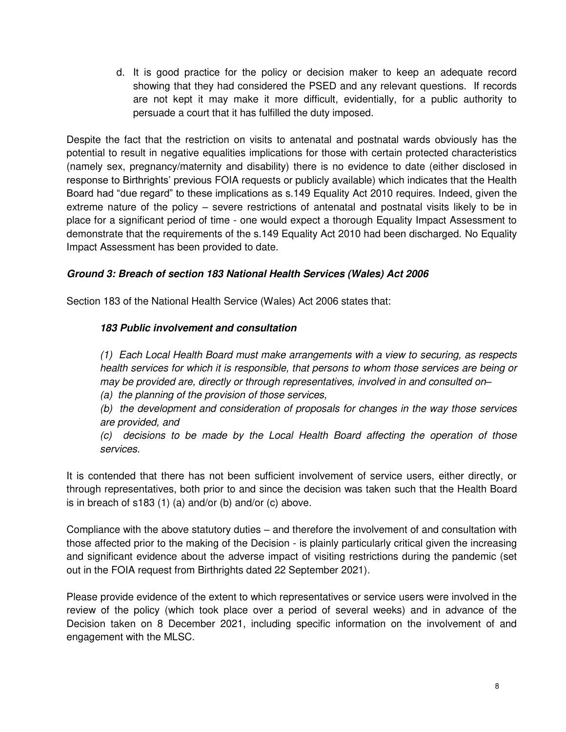d. It is good practice for the policy or decision maker to keep an adequate record showing that they had considered the PSED and any relevant questions. If records are not kept it may make it more difficult, evidentially, for a public authority to persuade a court that it has fulfilled the duty imposed.

Despite the fact that the restriction on visits to antenatal and postnatal wards obviously has the potential to result in negative equalities implications for those with certain protected characteristics (namely sex, pregnancy/maternity and disability) there is no evidence to date (either disclosed in response to Birthrights' previous FOIA requests or publicly available) which indicates that the Health Board had "due regard" to these implications as s.149 Equality Act 2010 requires. Indeed, given the extreme nature of the policy – severe restrictions of antenatal and postnatal visits likely to be in place for a significant period of time - one would expect a thorough Equality Impact Assessment to demonstrate that the requirements of the s.149 Equality Act 2010 had been discharged. No Equality Impact Assessment has been provided to date.

## *Ground 3: Breach of section 183 National Health Services (Wales) Act 2006*

Section 183 of the National Health Service (Wales) Act 2006 states that:

## *183 Public involvement and consultation*

*(1) Each Local Health Board must make arrangements with a view to securing, as respects health services for which it is responsible, that persons to whom those services are being or may be provided are, directly or through representatives, involved in and consulted on–*

*(a) the planning of the provision of those services,* 

*(b) the development and consideration of proposals for changes in the way those services are provided, and* 

*(c) decisions to be made by the Local Health Board affecting the operation of those services.* 

It is contended that there has not been sufficient involvement of service users, either directly, or through representatives, both prior to and since the decision was taken such that the Health Board is in breach of s183 (1) (a) and/or (b) and/or (c) above.

Compliance with the above statutory duties – and therefore the involvement of and consultation with those affected prior to the making of the Decision - is plainly particularly critical given the increasing and significant evidence about the adverse impact of visiting restrictions during the pandemic (set out in the FOIA request from Birthrights dated 22 September 2021).

Please provide evidence of the extent to which representatives or service users were involved in the review of the policy (which took place over a period of several weeks) and in advance of the Decision taken on 8 December 2021, including specific information on the involvement of and engagement with the MLSC.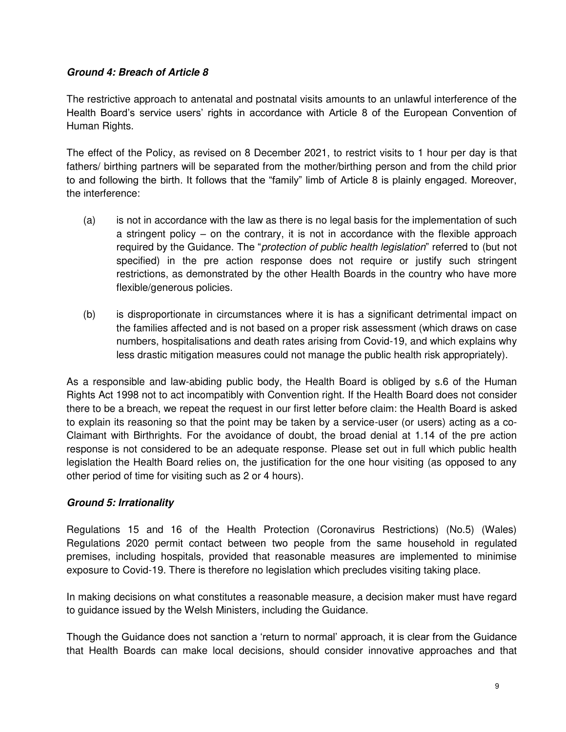### *Ground 4: Breach of Article 8*

The restrictive approach to antenatal and postnatal visits amounts to an unlawful interference of the Health Board's service users' rights in accordance with Article 8 of the European Convention of Human Rights.

The effect of the Policy, as revised on 8 December 2021, to restrict visits to 1 hour per day is that fathers/ birthing partners will be separated from the mother/birthing person and from the child prior to and following the birth. It follows that the "family" limb of Article 8 is plainly engaged. Moreover, the interference:

- (a) is not in accordance with the law as there is no legal basis for the implementation of such a stringent policy – on the contrary, it is not in accordance with the flexible approach required by the Guidance. The "*protection of public health legislation*" referred to (but not specified) in the pre action response does not require or justify such stringent restrictions, as demonstrated by the other Health Boards in the country who have more flexible/generous policies.
- (b) is disproportionate in circumstances where it is has a significant detrimental impact on the families affected and is not based on a proper risk assessment (which draws on case numbers, hospitalisations and death rates arising from Covid-19, and which explains why less drastic mitigation measures could not manage the public health risk appropriately).

As a responsible and law-abiding public body, the Health Board is obliged by s.6 of the Human Rights Act 1998 not to act incompatibly with Convention right. If the Health Board does not consider there to be a breach, we repeat the request in our first letter before claim: the Health Board is asked to explain its reasoning so that the point may be taken by a service-user (or users) acting as a co-Claimant with Birthrights. For the avoidance of doubt, the broad denial at 1.14 of the pre action response is not considered to be an adequate response. Please set out in full which public health legislation the Health Board relies on, the justification for the one hour visiting (as opposed to any other period of time for visiting such as 2 or 4 hours).

## *Ground 5: Irrationality*

Regulations 15 and 16 of the Health Protection (Coronavirus Restrictions) (No.5) (Wales) Regulations 2020 permit contact between two people from the same household in regulated premises, including hospitals, provided that reasonable measures are implemented to minimise exposure to Covid-19. There is therefore no legislation which precludes visiting taking place.

In making decisions on what constitutes a reasonable measure, a decision maker must have regard to guidance issued by the Welsh Ministers, including the Guidance.

Though the Guidance does not sanction a 'return to normal' approach, it is clear from the Guidance that Health Boards can make local decisions, should consider innovative approaches and that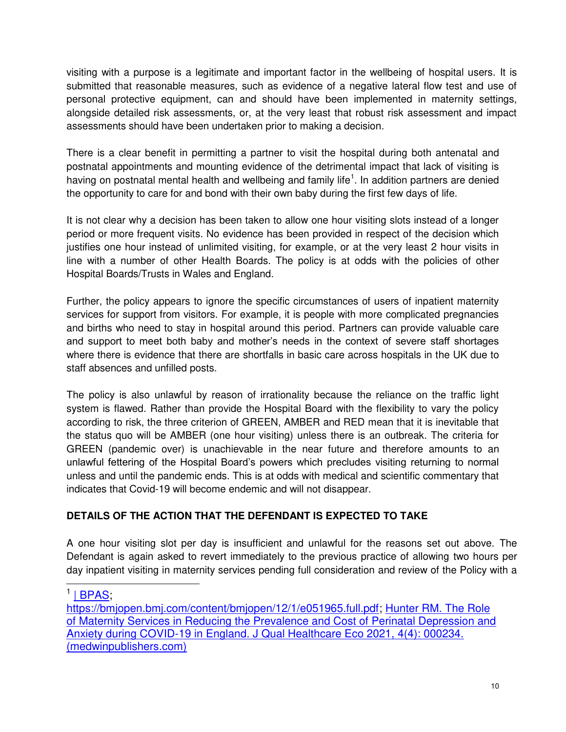visiting with a purpose is a legitimate and important factor in the wellbeing of hospital users. It is submitted that reasonable measures, such as evidence of a negative lateral flow test and use of personal protective equipment, can and should have been implemented in maternity settings, alongside detailed risk assessments, or, at the very least that robust risk assessment and impact assessments should have been undertaken prior to making a decision.

There is a clear benefit in permitting a partner to visit the hospital during both antenatal and postnatal appointments and mounting evidence of the detrimental impact that lack of visiting is having on postnatal mental health and wellbeing and family life<sup>1</sup>. In addition partners are denied the opportunity to care for and bond with their own baby during the first few days of life.

It is not clear why a decision has been taken to allow one hour visiting slots instead of a longer period or more frequent visits. No evidence has been provided in respect of the decision which justifies one hour instead of unlimited visiting, for example, or at the very least 2 hour visits in line with a number of other Health Boards. The policy is at odds with the policies of other Hospital Boards/Trusts in Wales and England.

Further, the policy appears to ignore the specific circumstances of users of inpatient maternity services for support from visitors. For example, it is people with more complicated pregnancies and births who need to stay in hospital around this period. Partners can provide valuable care and support to meet both baby and mother's needs in the context of severe staff shortages where there is evidence that there are shortfalls in basic care across hospitals in the UK due to staff absences and unfilled posts.

The policy is also unlawful by reason of irrationality because the reliance on the traffic light system is flawed. Rather than provide the Hospital Board with the flexibility to vary the policy according to risk, the three criterion of GREEN, AMBER and RED mean that it is inevitable that the status quo will be AMBER (one hour visiting) unless there is an outbreak. The criteria for GREEN (pandemic over) is unachievable in the near future and therefore amounts to an unlawful fettering of the Hospital Board's powers which precludes visiting returning to normal unless and until the pandemic ends. This is at odds with medical and scientific commentary that indicates that Covid-19 will become endemic and will not disappear.

# **DETAILS OF THE ACTION THAT THE DEFENDANT IS EXPECTED TO TAKE**

A one hour visiting slot per day is insufficient and unlawful for the reasons set out above. The Defendant is again asked to revert immediately to the previous practice of allowing two hours per day inpatient visiting in maternity services pending full consideration and review of the Policy with a

<sup>1 &</sup>lt;u>[| BPAS;](https://www.bpas.org/about-our-charity/press-office/press-releases/deeply-anxious-and-traumatised-how-pregnant-women-were-let-down-by-covid-19-restrictions-in-maternity-care/)</u>

[https://bmjopen.bmj.com/content/bmjopen/12/1/e051965.full.pdf;](https://clicktime.symantec.com/3741YJpwG3Ait7jeVNBHw8B6Gi?u=https%3A%2F%2Fbmjopen.bmj.com%2Fcontent%2Fbmjopen%2F12%2F1%2Fe051965.full.pdf) [Hunter RM. The Role](https://medwinpublishers.com/JQHE/the-role-of-maternity-services-in-reducing-the-prevalence-and-cost-of-perinatal-depression-and-anxiety-during-covid-19-in-england.pdf)  [of Maternity Services in Reducing the Prevalence and Cost of Perinatal Depression and](https://medwinpublishers.com/JQHE/the-role-of-maternity-services-in-reducing-the-prevalence-and-cost-of-perinatal-depression-and-anxiety-during-covid-19-in-england.pdf)  [Anxiety during COVID-19 in England. J Qual Healthcare Eco 2021, 4\(4\): 000234.](https://medwinpublishers.com/JQHE/the-role-of-maternity-services-in-reducing-the-prevalence-and-cost-of-perinatal-depression-and-anxiety-during-covid-19-in-england.pdf)  [\(medwinpublishers.com\)](https://medwinpublishers.com/JQHE/the-role-of-maternity-services-in-reducing-the-prevalence-and-cost-of-perinatal-depression-and-anxiety-during-covid-19-in-england.pdf)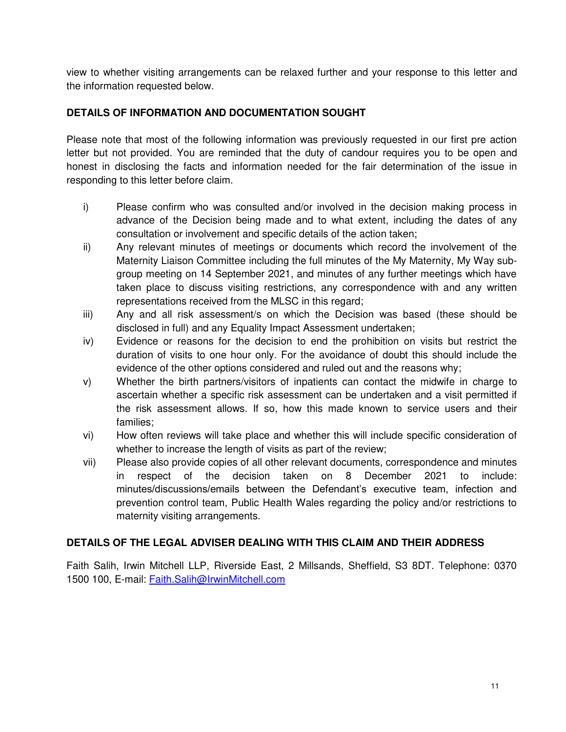view to whether visiting arrangements can be relaxed further and your response to this letter and the information requested below.

## **DETAILS OF INFORMATION AND DOCUMENTATION SOUGHT**

Please note that most of the following information was previously requested in our first pre action letter but not provided. You are reminded that the duty of candour requires you to be open and honest in disclosing the facts and information needed for the fair determination of the issue in responding to this letter before claim.

- i) Please confirm who was consulted and/or involved in the decision making process in advance of the Decision being made and to what extent, including the dates of any consultation or involvement and specific details of the action taken;
- ii) Any relevant minutes of meetings or documents which record the involvement of the Maternity Liaison Committee including the full minutes of the My Maternity, My Way subgroup meeting on 14 September 2021, and minutes of any further meetings which have taken place to discuss visiting restrictions, any correspondence with and any written representations received from the MLSC in this regard;
- iii) Any and all risk assessment/s on which the Decision was based (these should be disclosed in full) and any Equality Impact Assessment undertaken;
- iv) Evidence or reasons for the decision to end the prohibition on visits but restrict the duration of visits to one hour only. For the avoidance of doubt this should include the evidence of the other options considered and ruled out and the reasons why;
- v) Whether the birth partners/visitors of inpatients can contact the midwife in charge to ascertain whether a specific risk assessment can be undertaken and a visit permitted if the risk assessment allows. If so, how this made known to service users and their families;
- vi) How often reviews will take place and whether this will include specific consideration of whether to increase the length of visits as part of the review;
- vii) Please also provide copies of all other relevant documents, correspondence and minutes in respect of the decision taken on 8 December 2021 to include: minutes/discussions/emails between the Defendant's executive team, infection and prevention control team, Public Health Wales regarding the policy and/or restrictions to maternity visiting arrangements.

## **DETAILS OF THE LEGAL ADVISER DEALING WITH THIS CLAIM AND THEIR ADDRESS**

Faith Salih, Irwin Mitchell LLP, Riverside East, 2 Millsands, Sheffield, S3 8DT. Telephone: 0370 1500 100, E-mail: Faith.Salih@IrwinMitchell.com